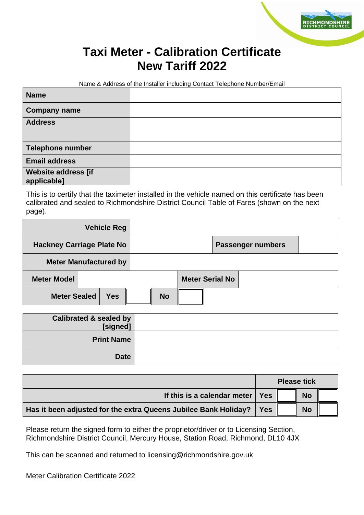## **Taxi Meter - Calibration Certificate New Tariff 2022**

Name & Address of the Installer including Contact Telephone Number/Email

| <b>Name</b>                               |  |
|-------------------------------------------|--|
| <b>Company name</b>                       |  |
| <b>Address</b>                            |  |
| Telephone number                          |  |
| <b>Email address</b>                      |  |
| <b>Website address [if</b><br>applicable] |  |

This is to certify that the taximeter installed in the vehicle named on this certificate has been calibrated and sealed to Richmondshire District Council Table of Fares (shown on the next page).

|                                  | <b>Vehicle Reg</b> |           |                        |                          |  |
|----------------------------------|--------------------|-----------|------------------------|--------------------------|--|
| <b>Hackney Carriage Plate No</b> |                    |           |                        | <b>Passenger numbers</b> |  |
| <b>Meter Manufactured by</b>     |                    |           |                        |                          |  |
| <b>Meter Model</b>               |                    |           | <b>Meter Serial No</b> |                          |  |
| <b>Meter Sealed</b>              | <b>Yes</b>         | <b>No</b> |                        |                          |  |

| Calibrated & sealed by<br>[signed] |  |
|------------------------------------|--|
| <b>Print Name</b>                  |  |
| <b>Date</b>                        |  |

|                                                                 | <b>Please tick</b> |  |           |  |
|-----------------------------------------------------------------|--------------------|--|-----------|--|
| If this is a calendar meter $\vert$                             | <b>Yes</b>         |  | <b>No</b> |  |
| Has it been adjusted for the extra Queens Jubilee Bank Holiday? | <b>Yes</b>         |  | <b>No</b> |  |

Please return the signed form to either the proprietor/driver or to Licensing Section, Richmondshire District Council, Mercury House, Station Road, Richmond, DL10 4JX

This can be scanned and returned to licensing@richmondshire.gov.uk

Meter Calibration Certificate 2022